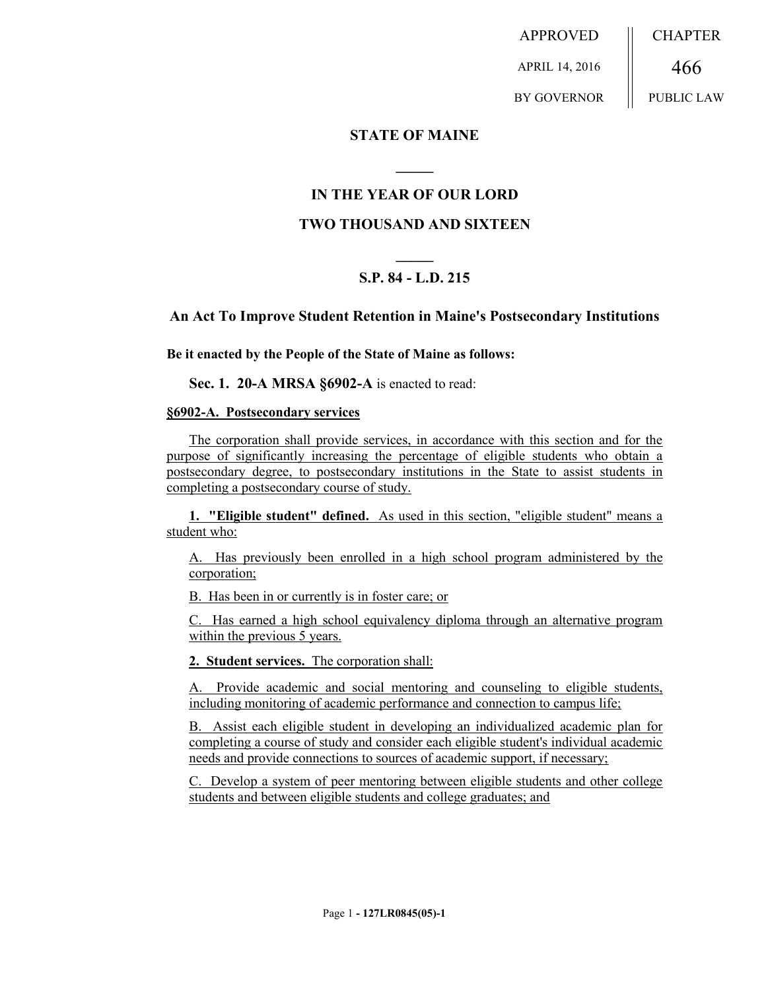APPROVED APRIL 14, 2016 BY GOVERNOR **CHAPTER** 466 PUBLIC LAW

**STATE OF MAINE**

## **IN THE YEAR OF OUR LORD**

**\_\_\_\_\_**

# **TWO THOUSAND AND SIXTEEN**

# **\_\_\_\_\_ S.P. 84 - L.D. 215**

## **An Act To Improve Student Retention in Maine's Postsecondary Institutions**

**Be it enacted by the People of the State of Maine as follows:**

**Sec. 1. 20-A MRSA §6902-A** is enacted to read:

#### **§6902-A. Postsecondary services**

The corporation shall provide services, in accordance with this section and for the purpose of significantly increasing the percentage of eligible students who obtain a postsecondary degree, to postsecondary institutions in the State to assist students in completing a postsecondary course of study.

**1. "Eligible student" defined.** As used in this section, "eligible student" means a student who:

A. Has previously been enrolled in a high school program administered by the corporation;

B. Has been in or currently is in foster care; or

C. Has earned a high school equivalency diploma through an alternative program within the previous 5 years.

**2. Student services.** The corporation shall:

A. Provide academic and social mentoring and counseling to eligible students, including monitoring of academic performance and connection to campus life;

B. Assist each eligible student in developing an individualized academic plan for completing a course of study and consider each eligible student's individual academic needs and provide connections to sources of academic support, if necessary;

C. Develop a system of peer mentoring between eligible students and other college students and between eligible students and college graduates; and